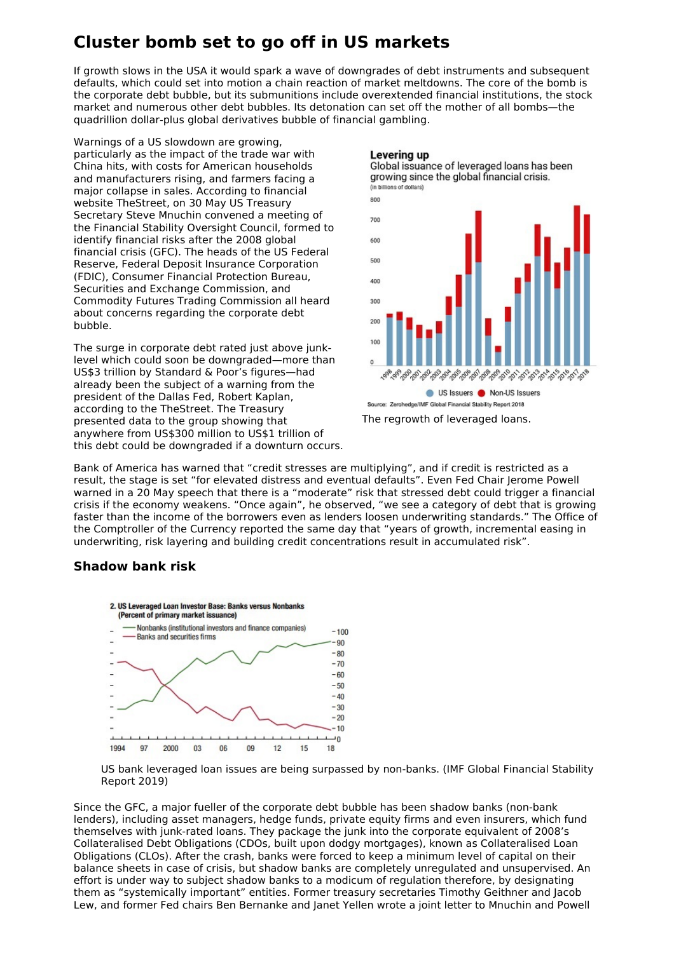# **Cluster bomb set to go off in US markets**

If growth slows in the USA it would spark a wave of downgrades of debt instruments and subsequent defaults, which could set into motion a chain reaction of market meltdowns. The core of the bomb is the corporate debt bubble, but its submunitions include overextended financial institutions, the stock market and numerous other debt bubbles. Its detonation can set off the mother of all bombs—the quadrillion dollar-plus global derivatives bubble of financial gambling.

Warnings of a US slowdown are growing, particularly as the impact of the trade war with China hits, with costs for American households and manufacturers rising, and farmers facing a major collapse in sales. According to financial website TheStreet, on 30 May US Treasury Secretary Steve Mnuchin convened a meeting of the Financial Stability Oversight Council, formed to identify financial risks after the 2008 global financial crisis (GFC). The heads of the US Federal Reserve, Federal Deposit Insurance Corporation (FDIC), Consumer Financial Protection Bureau, Securities and Exchange Commission, and Commodity Futures Trading Commission all heard about concerns regarding the corporate debt bubble.

The surge in corporate debt rated just above junklevel which could soon be downgraded—more than US\$3 trillion by Standard & Poor's figures—had already been the subject of a warning from the president of the Dallas Fed, Robert Kaplan, according to the TheStreet. The Treasury presented data to the group showing that anywhere from US\$300 million to US\$1 trillion of this debt could be downgraded if a downturn occurs.

### Levering up





Source: Zerohedge/IMF Global Financial Stability Report 2018 The regrowth of leveraged loans.

Bank of America has warned that "credit stresses are multiplying", and if credit is restricted as a result, the stage is set "for elevated distress and eventual defaults". Even Fed Chair Jerome Powell warned in a 20 May speech that there is a "moderate" risk that stressed debt could trigger a financial crisis if the economy weakens. "Once again", he observed, "we see a category of debt that is growing faster than the income of the borrowers even as lenders loosen underwriting standards." The Office of the Comptroller of the Currency reported the same day that "years of growth, incremental easing in underwriting, risk layering and building credit concentrations result in accumulated risk".

### **Shadow bank risk**



US bank leveraged loan issues are being surpassed by non-banks. (IMF Global Financial Stability Report 2019)

Since the GFC, a major fueller of the corporate debt bubble has been shadow banks (non-bank lenders), including asset managers, hedge funds, private equity firms and even insurers, which fund themselves with junk-rated loans. They package the junk into the corporate equivalent of 2008's Collateralised Debt Obligations (CDOs, built upon dodgy mortgages), known as Collateralised Loan Obligations (CLOs). After the crash, banks were forced to keep a minimum level of capital on their balance sheets in case of crisis, but shadow banks are completely unregulated and unsupervised. An effort is under way to subject shadow banks to a modicum of regulation therefore, by designating them as "systemically important" entities. Former treasury secretaries Timothy Geithner and Jacob Lew, and former Fed chairs Ben Bernanke and Janet Yellen wrote a joint letter to Mnuchin and Powell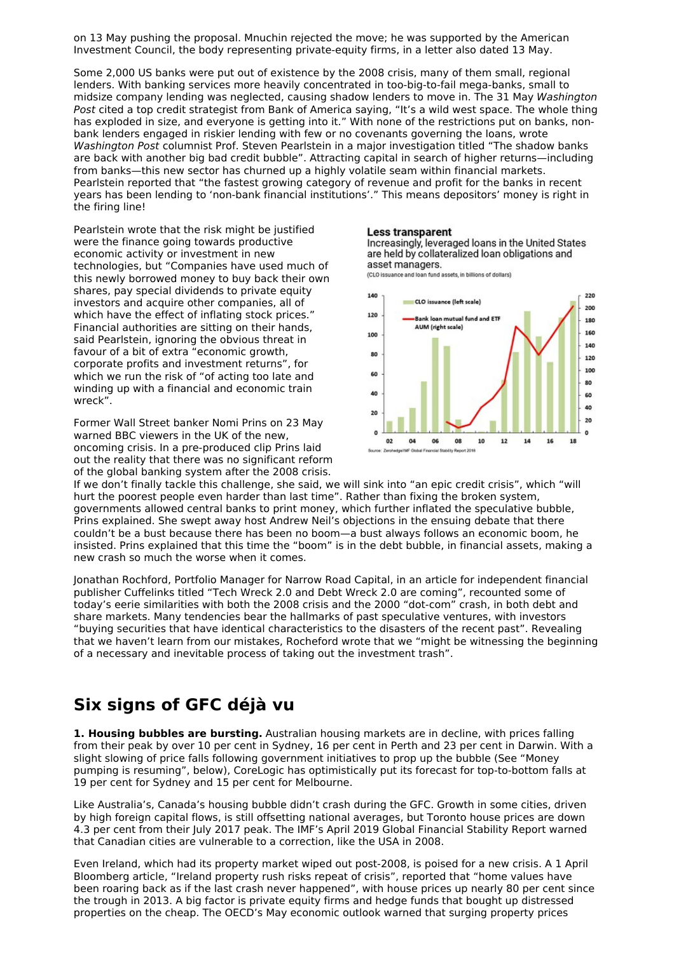on 13 May pushing the proposal. Mnuchin rejected the move; he was supported by the American Investment Council, the body representing private-equity firms, in a letter also dated 13 May.

Some 2,000 US banks were put out of existence by the 2008 crisis, many of them small, regional lenders. With banking services more heavily concentrated in too-big-to-fail mega-banks, small to midsize company lending was neglected, causing shadow lenders to move in. The 31 May Washington Post cited a top credit strategist from Bank of America saying, "It's a wild west space. The whole thing has exploded in size, and everyone is getting into it." With none of the restrictions put on banks, nonbank lenders engaged in riskier lending with few or no covenants governing the loans, wrote Washington Post columnist Prof. Steven Pearlstein in a major investigation titled "The shadow banks are back with another big bad credit bubble". Attracting capital in search of higher returns—including from banks—this new sector has churned up a highly volatile seam within financial markets. Pearlstein reported that "the fastest growing category of revenue and profit for the banks in recent years has been lending to 'non-bank financial institutions'." This means depositors' money is right in the firing line!

Pearlstein wrote that the risk might be justified were the finance going towards productive economic activity or investment in new technologies, but "Companies have used much of this newly borrowed money to buy back their own shares, pay special dividends to private equity investors and acquire other companies, all of which have the effect of inflating stock prices." Financial authorities are sitting on their hands, said Pearlstein, ignoring the obvious threat in favour of a bit of extra "economic growth, corporate profits and investment returns", for which we run the risk of "of acting too late and winding up with a financial and economic train wreck".

Former Wall Street banker Nomi Prins on 23 May warned BBC viewers in the UK of the new, oncoming crisis. In a pre-produced clip Prins laid out the reality that there was no significant reform of the global banking system after the 2008 crisis.

#### **Less transparent**

Increasingly, leveraged loans in the United States are held by collateralized loan obligations and asset managers. (CLO issuance and loan fund assets, in billions of dollars)



If we don't finally tackle this challenge, she said, we will sink into "an epic credit crisis", which "will hurt the poorest people even harder than last time". Rather than fixing the broken system, governments allowed central banks to print money, which further inflated the speculative bubble, Prins explained. She swept away host Andrew Neil's objections in the ensuing debate that there couldn't be a bust because there has been no boom—a bust always follows an economic boom, he insisted. Prins explained that this time the "boom" is in the debt bubble, in financial assets, making a new crash so much the worse when it comes.

Jonathan Rochford, Portfolio Manager for Narrow Road Capital, in an article for independent financial publisher Cuffelinks titled "Tech Wreck 2.0 and Debt Wreck 2.0 are coming", recounted some of today's eerie similarities with both the 2008 crisis and the 2000 "dot-com" crash, in both debt and share markets. Many tendencies bear the hallmarks of past speculative ventures, with investors "buying securities that have identical characteristics to the disasters of the recent past". Revealing that we haven't learn from our mistakes, Rocheford wrote that we "might be witnessing the beginning of a necessary and inevitable process of taking out the investment trash".

## **Six signs of GFC déjà vu**

**1. Housing bubbles are bursting.** Australian housing markets are in decline, with prices falling from their peak by over 10 per cent in Sydney, 16 per cent in Perth and 23 per cent in Darwin. With a slight slowing of price falls following government initiatives to prop up the bubble (See "Money pumping is resuming", below), CoreLogic has optimistically put its forecast for top-to-bottom falls at 19 per cent for Sydney and 15 per cent for Melbourne.

Like Australia's, Canada's housing bubble didn't crash during the GFC. Growth in some cities, driven by high foreign capital flows, is still offsetting national averages, but Toronto house prices are down 4.3 per cent from their July 2017 peak. The IMF's April 2019 Global Financial Stability Report warned that Canadian cities are vulnerable to a correction, like the USA in 2008.

Even Ireland, which had its property market wiped out post-2008, is poised for a new crisis. A 1 April Bloomberg article, "Ireland property rush risks repeat of crisis", reported that "home values have been roaring back as if the last crash never happened", with house prices up nearly 80 per cent since the trough in 2013. A big factor is private equity firms and hedge funds that bought up distressed properties on the cheap. The OECD's May economic outlook warned that surging property prices